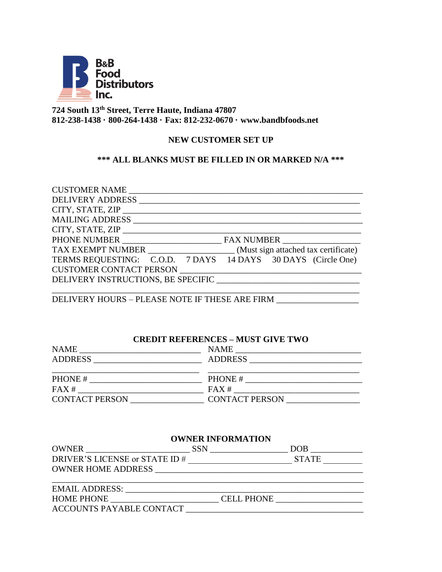

# **724 South 13th Street, Terre Haute, Indiana 47807 812-238-1438 · 800-264-1438 · Fax: 812-232-0670 · www.bandbfoods.net**

## **NEW CUSTOMER SET UP**

# **\*\*\* ALL BLANKS MUST BE FILLED IN OR MARKED N/A \*\*\***

| CUSTOMER NAME                                                                                                                                                                                                                  |
|--------------------------------------------------------------------------------------------------------------------------------------------------------------------------------------------------------------------------------|
|                                                                                                                                                                                                                                |
| CITY, STATE, ZIP                                                                                                                                                                                                               |
| <b>MAILING ADDRESS</b>                                                                                                                                                                                                         |
| CITY, STATE, ZIP                                                                                                                                                                                                               |
|                                                                                                                                                                                                                                |
| TAX EXEMPT NUMBER _______________________(Must sign attached tax certificate)                                                                                                                                                  |
| TERMS REQUESTING: C.O.D. 7 DAYS 14 DAYS 30 DAYS (Circle One)                                                                                                                                                                   |
| CUSTOMER CONTACT PERSON NAMES AND THE RESON AND RESONANCE IN THE RESONANCE OF STATISTICS OF STATISTICS OF STATISTICS OF STATISTICS OF STATISTICS OF STATISTICS OF STATISTICS OF STATISTICS OF STATISTICS OF STATISTICS OF STAT |
| DELIVERY INSTRUCTIONS, BE SPECIFIC                                                                                                                                                                                             |
|                                                                                                                                                                                                                                |

DELIVERY HOURS – PLEASE NOTE IF THESE ARE FIRM \_\_\_\_\_\_\_\_\_\_\_\_\_\_\_\_\_\_\_

### **CREDIT REFERENCES – MUST GIVE TWO**

| <b>NAME</b>                                                                       | <b>NAME</b>           |
|-----------------------------------------------------------------------------------|-----------------------|
| <b>ADDRESS</b><br>the contract of the contract of the contract of the contract of | <b>ADDRESS</b>        |
|                                                                                   |                       |
| PHONE#                                                                            | PHONE#                |
| FAX#                                                                              | FAX#                  |
| <b>CONTACT PERSON</b>                                                             | <b>CONTACT PERSON</b> |

| <b>OWNER INFORMATION</b>       |            |              |  |
|--------------------------------|------------|--------------|--|
| <b>OWNER</b>                   | <b>SSN</b> | <b>DOB</b>   |  |
| DRIVER'S LICENSE or STATE ID # |            | <b>STATE</b> |  |
| OWNER HOME ADDRESS             |            |              |  |
| <b>EMAIL ADDRESS:</b>          |            |              |  |
|                                |            |              |  |

| <b>HOME PHONE</b>        | <b>CELL PHONE</b> |
|--------------------------|-------------------|
| ACCOUNTS PAYABLE CONTACT |                   |